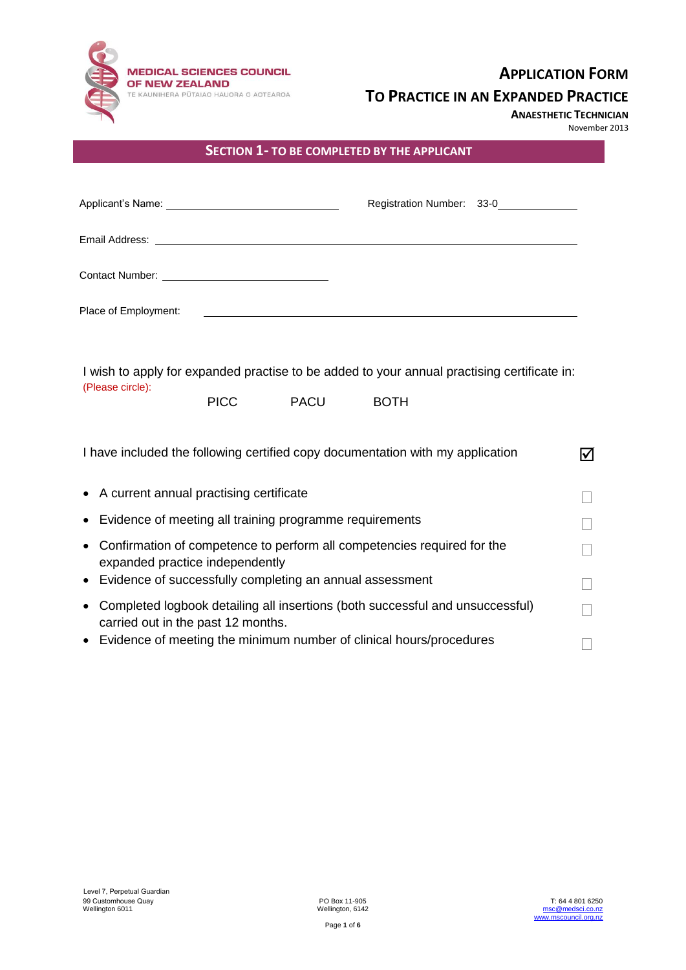

# **APPLICATION FORM**

### **TO PRACTICE IN AN EXPANDED PRACTICE**

**ANAESTHETIC TECHNICIAN**

November 2013

|                      | Registration Number: 33-0 |
|----------------------|---------------------------|
|                      |                           |
|                      |                           |
| Place of Employment: |                           |
|                      |                           |

I wish to apply for expanded practise to be added to your annual practising certificate in: (Please circle):

PICC PACU BOTH

| I have included the following certified copy documentation with my application                                        |  |
|-----------------------------------------------------------------------------------------------------------------------|--|
| • A current annual practising certificate                                                                             |  |
| • Evidence of meeting all training programme requirements                                                             |  |
| • Confirmation of competence to perform all competencies required for the<br>expanded practice independently          |  |
| • Evidence of successfully completing an annual assessment                                                            |  |
| • Completed logbook detailing all insertions (both successful and unsuccessful)<br>carried out in the past 12 months. |  |
| • Evidence of meeting the minimum number of clinical hours/procedures                                                 |  |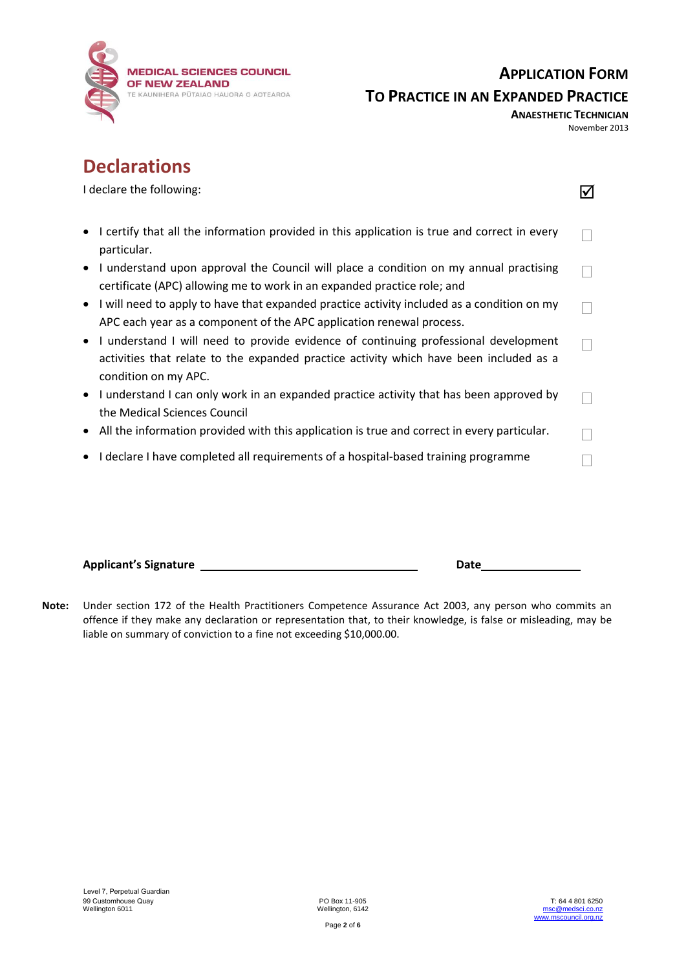

### **APPLICATION FORM TO PRACTICE IN AN EXPANDED PRACTICE**

**ANAESTHETIC TECHNICIAN** November 2013

# **Declarations**

| I declare the following:                                                                                                                                                                                           |  |
|--------------------------------------------------------------------------------------------------------------------------------------------------------------------------------------------------------------------|--|
| I certify that all the information provided in this application is true and correct in every<br>$\bullet$<br>particular.                                                                                           |  |
| I understand upon approval the Council will place a condition on my annual practising<br>$\bullet$<br>certificate (APC) allowing me to work in an expanded practice role; and                                      |  |
| I will need to apply to have that expanded practice activity included as a condition on my<br>$\bullet$<br>APC each year as a component of the APC application renewal process.                                    |  |
| I understand I will need to provide evidence of continuing professional development<br>$\bullet$<br>activities that relate to the expanded practice activity which have been included as a<br>condition on my APC. |  |
| • I understand I can only work in an expanded practice activity that has been approved by<br>the Medical Sciences Council                                                                                          |  |
| All the information provided with this application is true and correct in every particular.<br>$\bullet$                                                                                                           |  |
| I declare I have completed all requirements of a hospital-based training programme<br>$\bullet$                                                                                                                    |  |

**Applicant's Signature Date**

**Note:** Under section 172 of the Health Practitioners Competence Assurance Act 2003, any person who commits an offence if they make any declaration or representation that, to their knowledge, is false or misleading, may be liable on summary of conviction to a fine not exceeding \$10,000.00.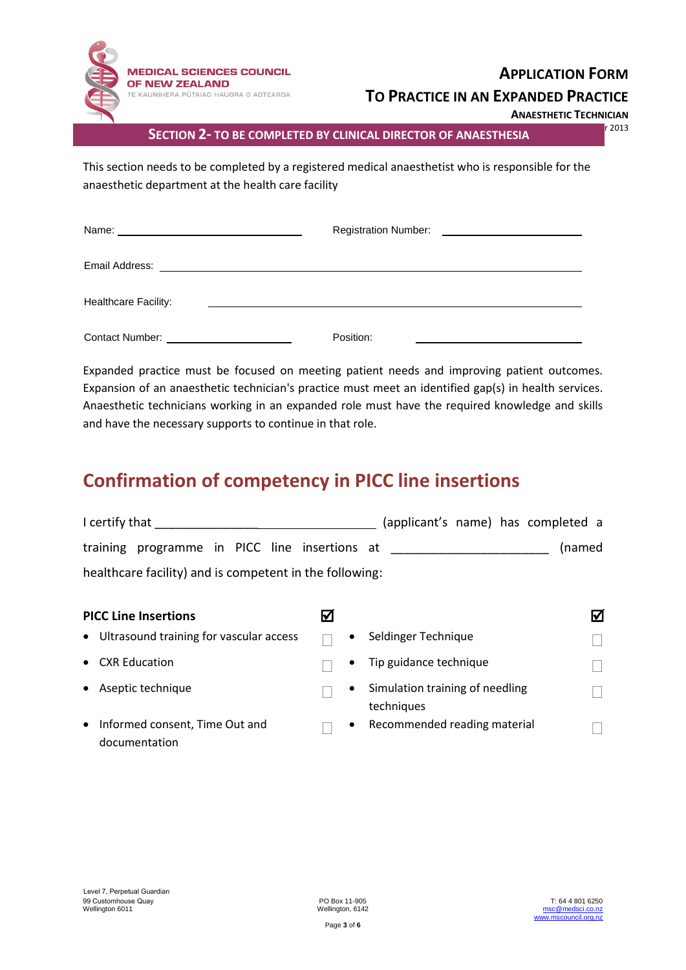

#### **APPLICATION FORM**

#### **TO PRACTICE IN AN EXPANDED PRACTICE**

**ANAESTHETIC TECHNICIAN**

November <sup>2013</sup> **SECTION 2- TO BE COMPLETED BY CLINICAL DIRECTOR OF ANAESTHESIA**

This section needs to be completed by a registered medical anaesthetist who is responsible for the anaesthetic department at the health care facility

| Name:                               | <b>Registration Number:</b><br><u> 1989 - Jan Sterlinger von Berger von Berger von Berger von Berger von Berger von Berger von Berger von Berger</u> |
|-------------------------------------|------------------------------------------------------------------------------------------------------------------------------------------------------|
|                                     |                                                                                                                                                      |
| <b>Healthcare Facility:</b>         |                                                                                                                                                      |
| Contact Number: The Contact Number: | Position:                                                                                                                                            |

Expanded practice must be focused on meeting patient needs and improving patient outcomes. Expansion of an anaesthetic technician's practice must meet an identified gap(s) in health services. Anaesthetic technicians working in an expanded role must have the required knowledge and skills and have the necessary supports to continue in that role.

## **Confirmation of competency in PICC line insertions**

| I certify that |                                                         |  |  | (applicant's name) has completed a |  |        |  |
|----------------|---------------------------------------------------------|--|--|------------------------------------|--|--------|--|
|                | training programme in PICC line insertions at           |  |  |                                    |  | (named |  |
|                | healthcare facility) and is competent in the following: |  |  |                                    |  |        |  |

| <b>PICC Line Insertions</b>                                  |                                                            | М |
|--------------------------------------------------------------|------------------------------------------------------------|---|
| • Ultrasound training for vascular access                    | Seldinger Technique                                        |   |
| <b>CXR Education</b>                                         | Tip guidance technique<br>$\bullet$                        |   |
| Aseptic technique                                            | Simulation training of needling<br>$\bullet$<br>techniques |   |
| Informed consent, Time Out and<br>$\bullet$<br>documentation | Recommended reading material<br>$\bullet$                  |   |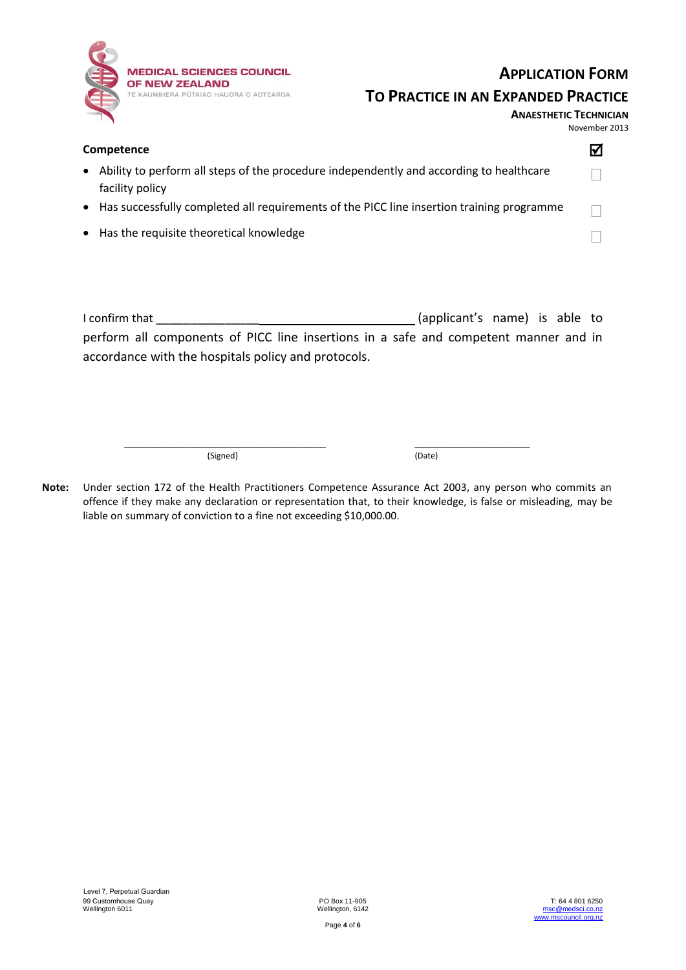

### **APPLICATION FORM**

#### **TO PRACTICE IN AN EXPANDED PRACTICE**

**ANAESTHETIC TECHNICIAN**

| November 2013 |  |
|---------------|--|
|               |  |

| Competence                                                                                                   |  |
|--------------------------------------------------------------------------------------------------------------|--|
| • Ability to perform all steps of the procedure independently and according to healthcare<br>facility policy |  |
| • Has successfully completed all requirements of the PICC line insertion training programme                  |  |
| • Has the requisite theoretical knowledge                                                                    |  |
|                                                                                                              |  |

I confirm that \_\_\_\_\_\_\_\_\_\_\_\_\_\_\_ (applicant's name) is able to perform all components of PICC line insertions in a safe and competent manner and in accordance with the hospitals policy and protocols.

(Signed) (Date)

**Note:** Under section 172 of the Health Practitioners Competence Assurance Act 2003, any person who commits an offence if they make any declaration or representation that, to their knowledge, is false or misleading, may be liable on summary of conviction to a fine not exceeding \$10,000.00.

\_\_\_\_\_\_\_\_\_\_\_\_\_\_\_\_\_\_\_\_\_\_\_\_\_\_\_\_\_\_\_\_\_\_\_ \_\_\_\_\_\_\_\_\_\_\_\_\_\_\_\_\_\_\_\_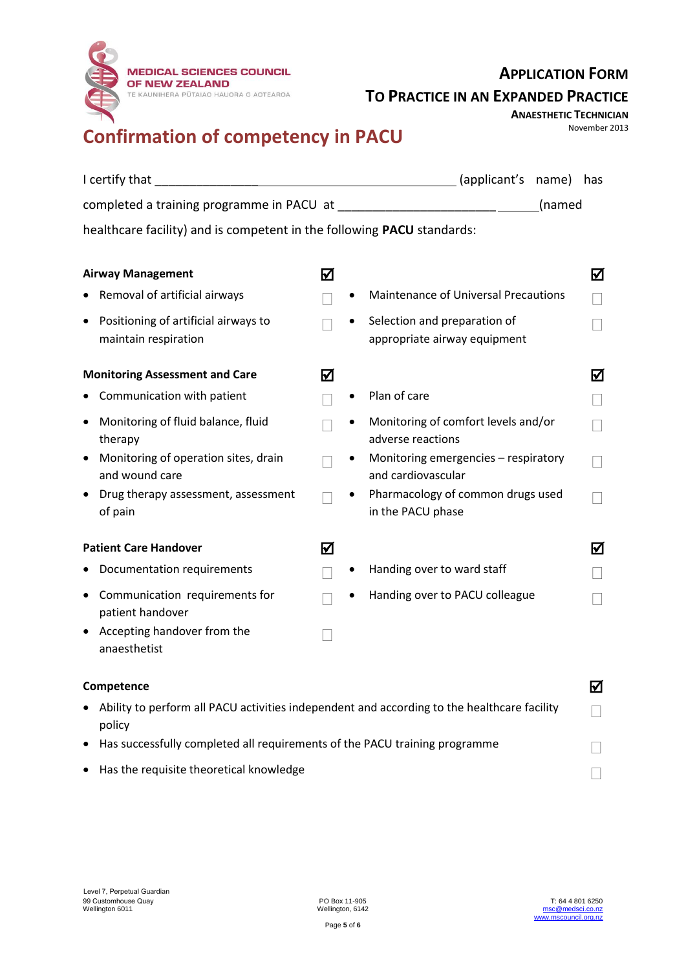

**Confirmation of competency in PACU** 

### **APPLICATION FORM TO PRACTICE IN AN EXPANDED PRACTICE**

**ANAESTHETIC TECHNICIAN**<br>November 2013

| I certify that                                                                              |   | (applicant's name)                                           | has    |
|---------------------------------------------------------------------------------------------|---|--------------------------------------------------------------|--------|
|                                                                                             |   | (named                                                       |        |
| healthcare facility) and is competent in the following <b>PACU</b> standards:               |   |                                                              |        |
|                                                                                             |   |                                                              |        |
| <b>Airway Management</b>                                                                    | ☑ |                                                              | ☑      |
| Removal of artificial airways                                                               |   | <b>Maintenance of Universal Precautions</b>                  |        |
| Positioning of artificial airways to<br>$\bullet$<br>maintain respiration                   |   | Selection and preparation of<br>appropriate airway equipment |        |
| <b>Monitoring Assessment and Care</b>                                                       | ☑ |                                                              | ☑      |
| Communication with patient                                                                  |   | Plan of care                                                 |        |
| Monitoring of fluid balance, fluid<br>therapy                                               |   | Monitoring of comfort levels and/or<br>adverse reactions     | П      |
| Monitoring of operation sites, drain<br>and wound care                                      |   | Monitoring emergencies - respiratory<br>and cardiovascular   | П      |
| Drug therapy assessment, assessment<br>of pain                                              |   | Pharmacology of common drugs used<br>in the PACU phase       | $\Box$ |
| <b>Patient Care Handover</b>                                                                | ☑ |                                                              | ☑      |
| Documentation requirements                                                                  |   | Handing over to ward staff                                   |        |
| Communication requirements for<br>$\bullet$<br>patient handover                             |   | Handing over to PACU colleague                               |        |
| Accepting handover from the<br>anaesthetist                                                 |   |                                                              |        |
| Competence                                                                                  |   |                                                              | М      |
| Ability to perform all PACU activities independent and according to the healthcare facility |   |                                                              |        |
|                                                                                             |   |                                                              |        |

| • Ability to perform all PACU activities independent and according to the healthcare facility |  |
|-----------------------------------------------------------------------------------------------|--|
| policy                                                                                        |  |
| • Has successfully completed all requirements of the PACU training programme                  |  |

 $\bullet$  Has the requisite theoretical knowledge  $\Box$